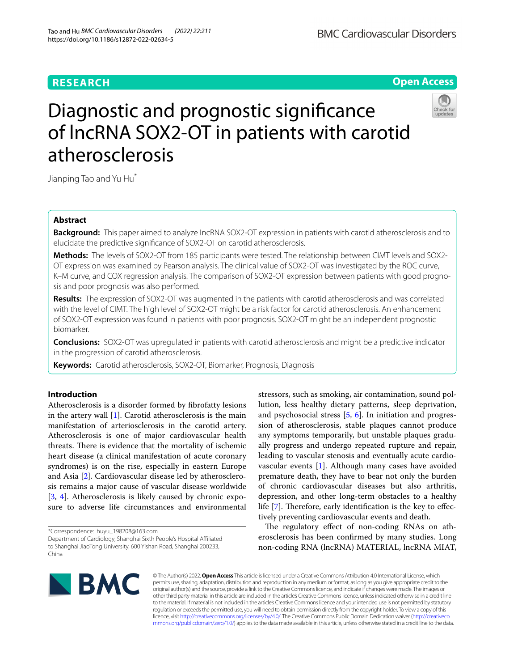# **RESEARCH**

## **Open Access**



# Diagnostic and prognostic signifcance of lncRNA SOX2-OT in patients with carotid atherosclerosis

Jianping Tao and Yu Hu\*

## **Abstract**

**Background:** This paper aimed to analyze IncRNA SOX2-OT expression in patients with carotid atherosclerosis and to elucidate the predictive signifcance of SOX2-OT on carotid atherosclerosis.

**Methods:** The levels of SOX2-OT from 185 participants were tested. The relationship between CIMT levels and SOX2- OT expression was examined by Pearson analysis. The clinical value of SOX2-OT was investigated by the ROC curve, K–M curve, and COX regression analysis. The comparison of SOX2-OT expression between patients with good prognosis and poor prognosis was also performed.

**Results:** The expression of SOX2-OT was augmented in the patients with carotid atherosclerosis and was correlated with the level of CIMT. The high level of SOX2-OT might be a risk factor for carotid atherosclerosis. An enhancement of SOX2-OT expression was found in patients with poor prognosis. SOX2-OT might be an independent prognostic biomarker.

**Conclusions:** SOX2-OT was upregulated in patients with carotid atherosclerosis and might be a predictive indicator in the progression of carotid atherosclerosis.

**Keywords:** Carotid atherosclerosis, SOX2-OT, Biomarker, Prognosis, Diagnosis

## **Introduction**

Atherosclerosis is a disorder formed by fbrofatty lesions in the artery wall [[1](#page-5-0)]. Carotid atherosclerosis is the main manifestation of arteriosclerosis in the carotid artery. Atherosclerosis is one of major cardiovascular health threats. There is evidence that the mortality of ischemic heart disease (a clinical manifestation of acute coronary syndromes) is on the rise, especially in eastern Europe and Asia [[2\]](#page-5-1). Cardiovascular disease led by atherosclerosis remains a major cause of vascular disease worldwide [[3,](#page-5-2) [4\]](#page-5-3). Atherosclerosis is likely caused by chronic exposure to adverse life circumstances and environmental

\*Correspondence: huyu\_198208@163.com

Department of Cardiology, Shanghai Sixth People's Hospital Afliated to Shanghai JiaoTong University, 600 Yishan Road, Shanghai 200233, China

stressors, such as smoking, air contamination, sound pollution, less healthy dietary patterns, sleep deprivation, and psychosocial stress [\[5](#page-5-4), [6\]](#page-5-5). In initiation and progression of atherosclerosis, stable plaques cannot produce any symptoms temporarily, but unstable plaques gradually progress and undergo repeated rupture and repair, leading to vascular stenosis and eventually acute cardiovascular events [[1\]](#page-5-0). Although many cases have avoided premature death, they have to bear not only the burden of chronic cardiovascular diseases but also arthritis, depression, and other long-term obstacles to a healthy life  $[7]$  $[7]$ . Therefore, early identification is the key to effectively preventing cardiovascular events and death.

The regulatory effect of non-coding RNAs on atherosclerosis has been confrmed by many studies. Long non-coding RNA (lncRNA) MATERIAL, lncRNA MIAT,



© The Author(s) 2022. **Open Access** This article is licensed under a Creative Commons Attribution 4.0 International License, which permits use, sharing, adaptation, distribution and reproduction in any medium or format, as long as you give appropriate credit to the original author(s) and the source, provide a link to the Creative Commons licence, and indicate if changes were made. The images or other third party material in this article are included in the article's Creative Commons licence, unless indicated otherwise in a credit line to the material. If material is not included in the article's Creative Commons licence and your intended use is not permitted by statutory regulation or exceeds the permitted use, you will need to obtain permission directly from the copyright holder. To view a copy of this licence, visit [http://creativecommons.org/licenses/by/4.0/.](http://creativecommons.org/licenses/by/4.0/) The Creative Commons Public Domain Dedication waiver ([http://creativeco](http://creativecommons.org/publicdomain/zero/1.0/) [mmons.org/publicdomain/zero/1.0/](http://creativecommons.org/publicdomain/zero/1.0/)) applies to the data made available in this article, unless otherwise stated in a credit line to the data.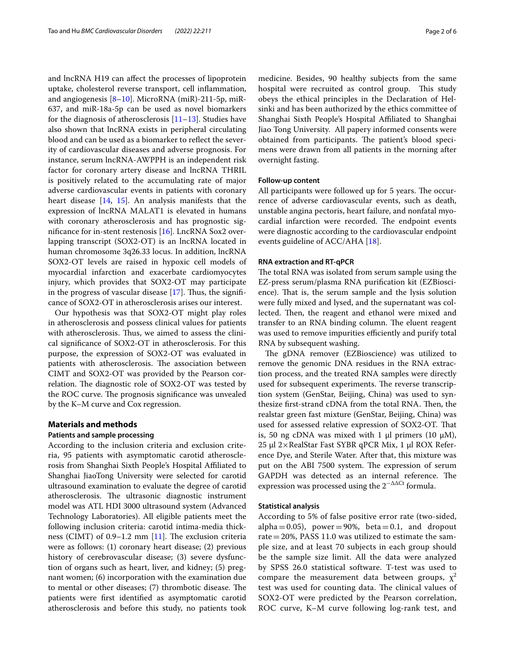and lncRNA H19 can afect the processes of lipoprotein uptake, cholesterol reverse transport, cell infammation, and angiogenesis [[8](#page-5-7)[–10](#page-5-8)]. MicroRNA (miR)-211-5p, miR-637, and miR-18a-5p can be used as novel biomarkers for the diagnosis of atherosclerosis [[11](#page-5-9)[–13](#page-5-10)]. Studies have also shown that lncRNA exists in peripheral circulating blood and can be used as a biomarker to refect the severity of cardiovascular diseases and adverse prognosis. For instance, serum lncRNA-AWPPH is an independent risk factor for coronary artery disease and lncRNA THRIL is positively related to the accumulating rate of major adverse cardiovascular events in patients with coronary heart disease [[14](#page-5-11), [15\]](#page-5-12). An analysis manifests that the expression of lncRNA MALAT1 is elevated in humans with coronary atherosclerosis and has prognostic signifcance for in-stent restenosis [[16\]](#page-5-13). LncRNA Sox2 overlapping transcript (SOX2-OT) is an lncRNA located in human chromosome 3q26.33 locus. In addition, lncRNA SOX2-OT levels are raised in hypoxic cell models of myocardial infarction and exacerbate cardiomyocytes injury, which provides that SOX2-OT may participate in the progress of vascular disease  $[17]$  $[17]$ . Thus, the significance of SOX2-OT in atherosclerosis arises our interest.

Our hypothesis was that SOX2-OT might play roles in atherosclerosis and possess clinical values for patients with atherosclerosis. Thus, we aimed to assess the clinical signifcance of SOX2-OT in atherosclerosis. For this purpose, the expression of SOX2-OT was evaluated in patients with atherosclerosis. The association between CIMT and SOX2-OT was provided by the Pearson correlation. The diagnostic role of SOX2-OT was tested by the ROC curve. The prognosis significance was unvealed by the K–M curve and Cox regression.

## **Materials and methods**

## **Patients and sample processing**

According to the inclusion criteria and exclusion criteria, 95 patients with asymptomatic carotid atherosclerosis from Shanghai Sixth People's Hospital Afliated to Shanghai JiaoTong University were selected for carotid ultrasound examination to evaluate the degree of carotid atherosclerosis. The ultrasonic diagnostic instrument model was ATL HDI 3000 ultrasound system (Advanced Technology Laboratories). All eligible patients meet the following inclusion criteria: carotid intima-media thickness (CIMT) of  $0.9-1.2$  mm [[11\]](#page-5-9). The exclusion criteria were as follows: (1) coronary heart disease; (2) previous history of cerebrovascular disease; (3) severe dysfunction of organs such as heart, liver, and kidney; (5) pregnant women; (6) incorporation with the examination due to mental or other diseases;  $(7)$  thrombotic disease. The patients were frst identifed as asymptomatic carotid atherosclerosis and before this study, no patients took medicine. Besides, 90 healthy subjects from the same hospital were recruited as control group. This study obeys the ethical principles in the Declaration of Helsinki and has been authorized by the ethics committee of Shanghai Sixth People's Hospital Afliated to Shanghai Jiao Tong University. All papery informed consents were obtained from participants. The patient's blood specimens were drawn from all patients in the morning after overnight fasting.

## **Follow‑up content**

All participants were followed up for 5 years. The occurrence of adverse cardiovascular events, such as death, unstable angina pectoris, heart failure, and nonfatal myocardial infarction were recorded. The endpoint events were diagnostic according to the cardiovascular endpoint events guideline of ACC/AHA [[18](#page-5-15)].

## **RNA extraction and RT‑qPCR**

The total RNA was isolated from serum sample using the EZ-press serum/plasma RNA purifcation kit (EZBioscience). That is, the serum sample and the lysis solution were fully mixed and lysed, and the supernatant was collected. Then, the reagent and ethanol were mixed and transfer to an RNA binding column. The eluent reagent was used to remove impurities efficiently and purify total RNA by subsequent washing.

The gDNA remover (EZBioscience) was utilized to remove the genomic DNA residues in the RNA extraction process, and the treated RNA samples were directly used for subsequent experiments. The reverse transcription system (GenStar, Beijing, China) was used to synthesize first-strand cDNA from the total RNA. Then, the realstar green fast mixture (GenStar, Beijing, China) was used for assessed relative expression of SOX2-OT. Tat is, 50 ng cDNA was mixed with 1  $\mu$ l primers (10  $\mu$ M), 25 µl 2×RealStar Fast SYBR qPCR Mix, 1 µl ROX Reference Dye, and Sterile Water. After that, this mixture was put on the ABI 7500 system. The expression of serum GAPDH was detected as an internal reference. The expression was processed using the  $2^{-\Delta\Delta\text{Ct}}$  formula.

## **Statistical analysis**

According to 5% of false positive error rate (two-sided, alpha=0.05), power=90%, beta=0.1, and dropout rate  $=$  20%, PASS 11.0 was utilized to estimate the sample size, and at least 70 subjects in each group should be the sample size limit. All the data were analyzed by SPSS 26.0 statistical software. T-test was used to compare the measurement data between groups,  $\chi^2$ test was used for counting data. The clinical values of SOX2-OT were predicted by the Pearson correlation, ROC curve, K–M curve following log-rank test, and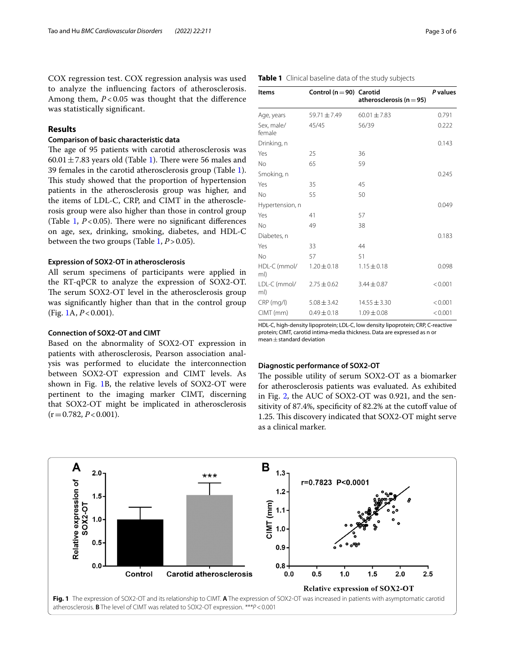COX regression test. COX regression analysis was used to analyze the infuencing factors of atherosclerosis. Among them, *P* < 0.05 was thought that the diference was statistically signifcant.

## **Results**

## **Comparison of basic characteristic data**

The age of 95 patients with carotid atherosclerosis was  $60.01 \pm 7.83$  years old (Table [1\)](#page-2-0). There were 56 males and 39 females in the carotid atherosclerosis group (Table [1](#page-2-0)). This study showed that the proportion of hypertension patients in the atherosclerosis group was higher, and the items of LDL-C, CRP, and CIMT in the atherosclerosis group were also higher than those in control group (Table  $1, P < 0.05$  $1, P < 0.05$ ). There were no significant differences on age, sex, drinking, smoking, diabetes, and HDL-C between the two groups (Table [1,](#page-2-0) *P*>0.05).

## **Expression of SOX2‑OT in atherosclerosis**

All serum specimens of participants were applied in the RT-qPCR to analyze the expression of SOX2-OT. The serum SOX2-OT level in the atherosclerosis group was signifcantly higher than that in the control group (Fig. [1A](#page-2-1), *P*<0.001).

## **Connection of SOX2‑OT and CIMT**

Based on the abnormality of SOX2-OT expression in patients with atherosclerosis, Pearson association analysis was performed to elucidate the interconnection between SOX2-OT expression and CIMT levels. As shown in Fig. [1](#page-2-1)B, the relative levels of SOX2-OT were pertinent to the imaging marker CIMT, discerning that SOX2-OT might be implicated in atherosclerosis  $(r=0.782, P<0.001)$ .

| Hypertension, n     |                 |                 | 0.049 |
|---------------------|-----------------|-----------------|-------|
| Yes                 | 41              | 57              |       |
| No                  | 49              | 38              |       |
| Diabetes, n         |                 |                 | 0.183 |
| Yes                 | 33              | 44              |       |
| No                  | 57              | 51              |       |
| HDL-C (mmol/<br>ml) | $1.20 \pm 0.18$ | $1.15 \pm 0.18$ | 0.098 |

<span id="page-2-0"></span>**Table 1** Clinical baseline data of the study subjects

Age, years 59.71 ± 7.49 60.01 ± 7.83 0.791

Drinking, n 0.143

Smoking, n 0.245

**atherosclerosis (n**=**95)**

45/45 56/39 0.222

 $2.75 \pm 0.62$   $3.44 \pm 0.87$  <0.001

**Items Control (n**=**90) Carotid** 

Yes 25 36 No 65 59

Yes 35 45 No 55 50

Sex, male/ female

LDL-C (mmol/

ml)

HDL-C, high-density lipoprotein; LDL-C, low density lipoprotein; CRP, C-reactive protein; CIMT, carotid intima-media thickness. Data are expressed as n or  $mean \pm$  standard deviation

CRP (mg/l)  $5.08 \pm 3.42$   $14.55 \pm 3.30$   $< 0.001$  $CIMT (mm)$  0.49 $\pm$ 0.18 1.09 $\pm$ 0.08 <0.001

## **Diagnostic performance of SOX2‑OT**

The possible utility of serum SOX2-OT as a biomarker for atherosclerosis patients was evaluated. As exhibited in Fig. [2,](#page-3-0) the AUC of SOX2-OT was 0.921, and the sensitivity of 87.4%, specificity of 82.2% at the cutoff value of 1.25. This discovery indicated that SOX2-OT might serve as a clinical marker.

<span id="page-2-1"></span>

*P* **values**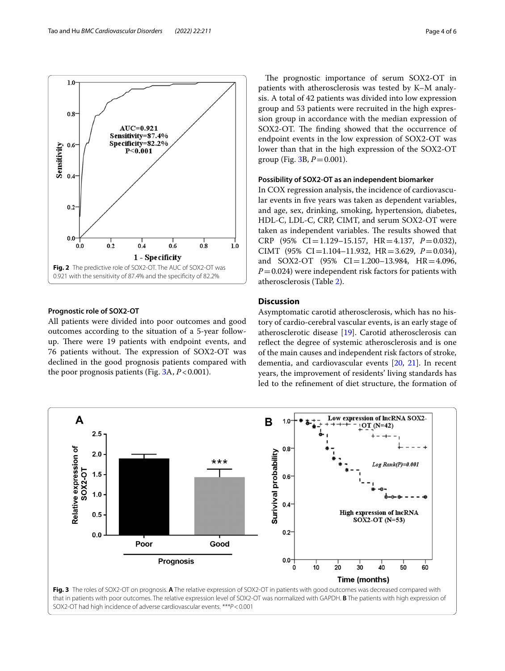**Prognostic role of SOX2‑OT** All patients were divided into poor outcomes and good outcomes according to the situation of a 5-year followup. There were 19 patients with endpoint events, and 76 patients without. The expression of SOX2-OT was declined in the good prognosis patients compared with the poor prognosis patients (Fig.  $3A, P < 0.001$ ).

<span id="page-3-0"></span>**Fig. 2** The predictive role of SOX2-OT. The AUC of SOX2-OT was 0.921 with the sensitivity of 87.4% and the specifcity of 82.2%

 $0.4$ 

 $0.6$ 

1 - Specificity

 $0.8$ 

 $1.0$ 

 $AUC=0.921$ Sensitivity=87.4% Specificity= $82.2\%$ 

 $P < 0.001$ 

## The prognostic importance of serum SOX2-OT in patients with atherosclerosis was tested by K–M analysis. A total of 42 patients was divided into low expression group and 53 patients were recruited in the high expression group in accordance with the median expression of SOX2-OT. The finding showed that the occurrence of endpoint events in the low expression of SOX2-OT was lower than that in the high expression of the SOX2-OT group (Fig.  $3B, P = 0.001$  $3B, P = 0.001$ ).

## **Possibility of SOX2‑OT as an independent biomarker**

In COX regression analysis, the incidence of cardiovascular events in fve years was taken as dependent variables, and age, sex, drinking, smoking, hypertension, diabetes, HDL-C, LDL-C, CRP, CIMT, and serum SOX2-OT were taken as independent variables. The results showed that CRP (95% CI=1.129–15.157, HR=4.137, *P*=0.032), CIMT (95% CI=1.104–11.932, HR=3.629, *P*=0.034), and SOX2-OT  $(95\% \text{ CI} = 1.200 - 13.984, \text{ HR} = 4.096,$ *P*=0.024) were independent risk factors for patients with atherosclerosis (Table [2\)](#page-4-0).

## **Discussion**

 $1.0$ 

Asymptomatic carotid atherosclerosis, which has no history of cardio-cerebral vascular events, is an early stage of atherosclerotic disease [\[19](#page-5-16)]. Carotid atherosclerosis can refect the degree of systemic atherosclerosis and is one of the main causes and independent risk factors of stroke, dementia, and cardiovascular events [\[20,](#page-5-17) [21\]](#page-5-18). In recent years, the improvement of residents' living standards has led to the refnement of diet structure, the formation of

Low expression of lncRNA SOX2-

<span id="page-3-1"></span>

 $1.0$ 

 $0.8$ 

 $0.6$ 

 $0.4$ 

 $0.2$ 

 $0.0$ 

 $0.0$ 

A

 $0.2$ 

Sensitivity

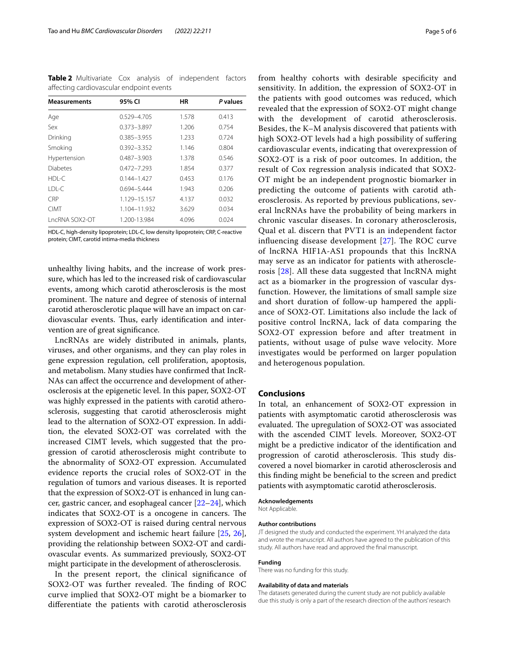<span id="page-4-0"></span>**Table 2** Multivariate Cox analysis of independent factors afecting cardiovascular endpoint events

| <b>Measurements</b> | 95% CI          | <b>HR</b> | P values |
|---------------------|-----------------|-----------|----------|
| Age                 | 0.529-4.705     | 1.578     | 0.413    |
| Sex                 | 0.373-3.897     | 1.206     | 0.754    |
| Drinking            | 0.385-3.955     | 1.233     | 0.724    |
| Smoking             | $0.392 - 3.352$ | 1.146     | 0.804    |
| Hypertension        | $0.487 - 3.903$ | 1.378     | 0.546    |
| <b>Diabetes</b>     | $0.472 - 7.293$ | 1.854     | 0.377    |
| HDI-C               | $0.144 - 1.427$ | 0.453     | 0.176    |
| $IDI-C$             | $0.694 - 5.444$ | 1.943     | 0.206    |
| <b>CRP</b>          | 1.129-15.157    | 4.137     | 0.032    |
| <b>CIMT</b>         | 1.104-11.932    | 3.629     | 0.034    |
| LncRNA SOX2-OT      | 1.200-13.984    | 4.096     | 0.024    |

HDL-C, high-density lipoprotein; LDL-C, low density lipoprotein; CRP, C-reactive protein; CIMT, carotid intima-media thickness

unhealthy living habits, and the increase of work pressure, which has led to the increased risk of cardiovascular events, among which carotid atherosclerosis is the most prominent. The nature and degree of stenosis of internal carotid atherosclerotic plaque will have an impact on cardiovascular events. Thus, early identification and intervention are of great signifcance.

LncRNAs are widely distributed in animals, plants, viruses, and other organisms, and they can play roles in gene expression regulation, cell proliferation, apoptosis, and metabolism. Many studies have confrmed that IncR-NAs can afect the occurrence and development of atherosclerosis at the epigenetic level. In this paper, SOX2-OT was highly expressed in the patients with carotid atherosclerosis, suggesting that carotid atherosclerosis might lead to the alternation of SOX2-OT expression. In addition, the elevated SOX2-OT was correlated with the increased CIMT levels, which suggested that the progression of carotid atherosclerosis might contribute to the abnormality of SOX2-OT expression. Accumulated evidence reports the crucial roles of SOX2-OT in the regulation of tumors and various diseases. It is reported that the expression of SOX2-OT is enhanced in lung cancer, gastric cancer, and esophageal cancer [\[22](#page-5-19)–[24\]](#page-5-20), which indicates that SOX2-OT is a oncogene in cancers. The expression of SOX2-OT is raised during central nervous system development and ischemic heart failure [[25,](#page-5-21) [26](#page-5-22)], providing the relationship between SOX2-OT and cardiovascular events. As summarized previously, SOX2-OT might participate in the development of atherosclerosis.

In the present report, the clinical signifcance of SOX2-OT was further revealed. The finding of ROC curve implied that SOX2-OT might be a biomarker to diferentiate the patients with carotid atherosclerosis from healthy cohorts with desirable specifcity and sensitivity. In addition, the expression of SOX2-OT in the patients with good outcomes was reduced, which revealed that the expression of SOX2-OT might change with the development of carotid atherosclerosis. Besides, the K–M analysis discovered that patients with high SOX2-OT levels had a high possibility of sufering cardiovascular events, indicating that overexpression of SOX2-OT is a risk of poor outcomes. In addition, the result of Cox regression analysis indicated that SOX2- OT might be an independent prognostic biomarker in predicting the outcome of patients with carotid atherosclerosis. As reported by previous publications, several lncRNAs have the probability of being markers in chronic vascular diseases. In coronary atherosclerosis, Qual et al. discern that PVT1 is an independent factor influencing disease development  $[27]$ . The ROC curve of lncRNA HIF1A-AS1 propounds that this lncRNA may serve as an indicator for patients with atherosclerosis [\[28](#page-5-24)]. All these data suggested that lncRNA might act as a biomarker in the progression of vascular dysfunction. However, the limitations of small sample size and short duration of follow-up hampered the appliance of SOX2-OT. Limitations also include the lack of positive control lncRNA, lack of data comparing the SOX2-OT expression before and after treatment in patients, without usage of pulse wave velocity. More investigates would be performed on larger population and heterogenous population.

## **Conclusions**

In total, an enhancement of SOX2-OT expression in patients with asymptomatic carotid atherosclerosis was evaluated. The upregulation of SOX2-OT was associated with the ascended CIMT levels. Moreover, SOX2-OT might be a predictive indicator of the identifcation and progression of carotid atherosclerosis. This study discovered a novel biomarker in carotid atherosclerosis and this fnding might be benefcial to the screen and predict patients with asymptomatic carotid atherosclerosis.

## **Acknowledgements**

Not Applicable.

#### **Author contributions**

JT designed the study and conducted the experiment. YH analyzed the data and wrote the manuscript. All authors have agreed to the publication of this study. All authors have read and approved the fnal manuscript.

#### **Funding**

There was no funding for this study.

#### **Availability of data and materials**

The datasets generated during the current study are not publicly available due this study is only a part of the research direction of the authors' research